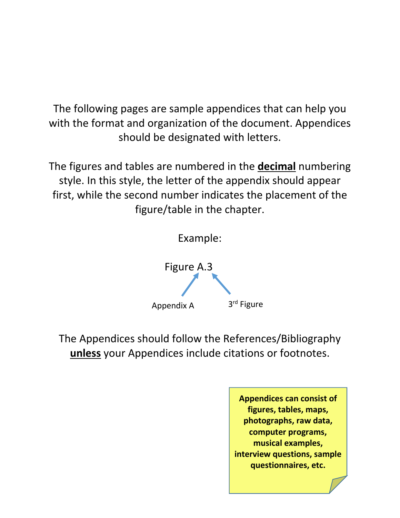The following pages are sample appendices that can help you with the format and organization of the document. Appendices should be designated with letters.

The figures and tables are numbered in the **decimal** numbering style. In this style, the letter of the appendix should appear first, while the second number indicates the placement of the figure/table in the chapter.



The Appendices should follow the References/Bibliography **unless** your Appendices include citations or footnotes.

> **Appendices can consist of figures, tables, maps, photographs, raw data, computer programs, musical examples, interview questions, sample questionnaires, etc.**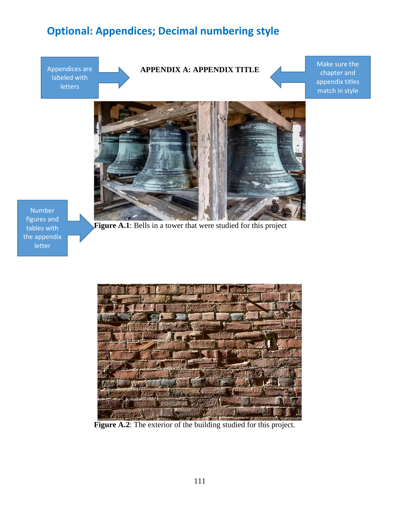## **Optional: Appendices; Decimal numbering style**



figures and tables with the appendix letter



Figure A.2: The exterior of the building studied for this project.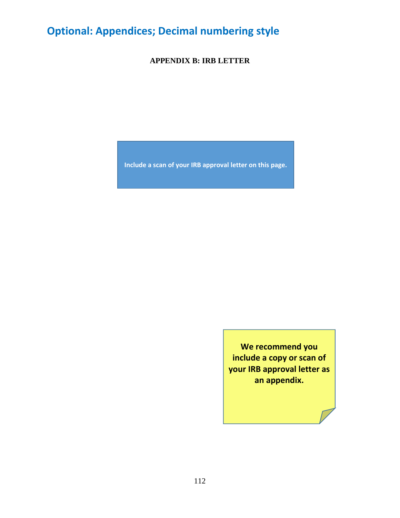## **Optional: Appendices; Decimal numbering style**

**APPENDIX B: IRB LETTER**

**Include a scan of your IRB approval letter on this page.**

**We recommend you include a copy or scan of your IRB approval letter as an appendix.**